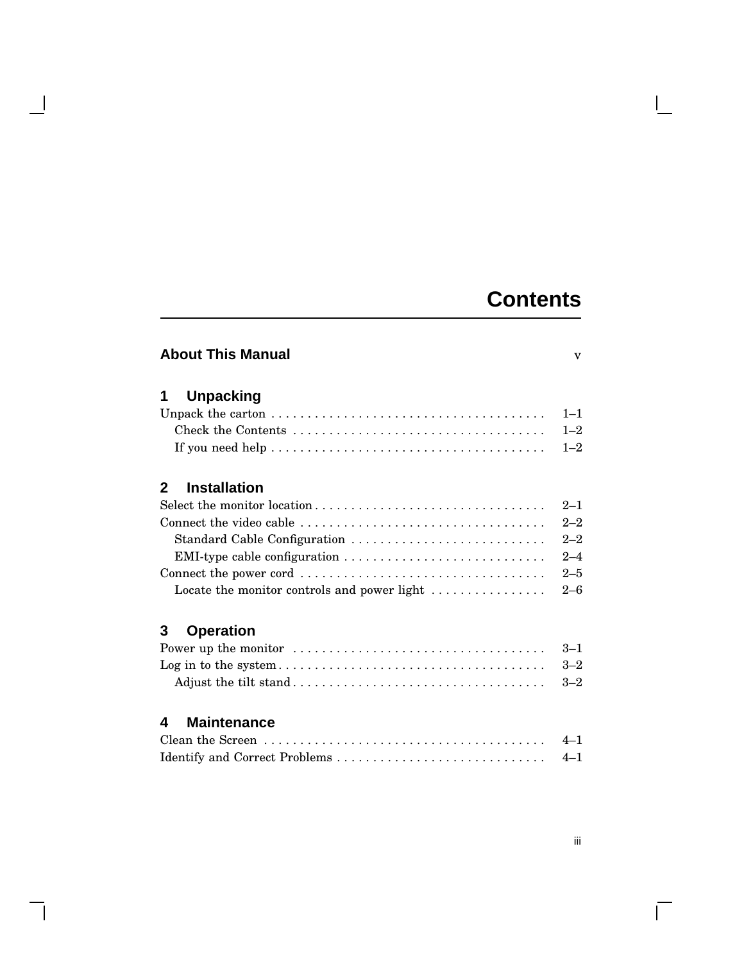## **Contents**

 $\mathbf{L}$ 

| <b>About This Manual</b>                    | $\overline{\mathbf{V}}$ |
|---------------------------------------------|-------------------------|
| <b>Unpacking</b><br>1                       |                         |
|                                             | $1 - 1$                 |
|                                             | $1 - 2$                 |
|                                             | $1 - 2$                 |
| <b>Installation</b><br>2                    |                         |
| Select the monitor location                 | $2 - 1$                 |
|                                             | $2 - 2$                 |
| Standard Cable Configuration                | $2 - 2$                 |
|                                             | $2 - 4$                 |
|                                             | $2 - 5$                 |
| Locate the monitor controls and power light | $2 - 6$                 |
| <b>Operation</b><br>3                       |                         |
|                                             | $3 - 1$                 |
|                                             | $3 - 2$                 |
|                                             | $3 - 2$                 |
| <b>Maintenance</b><br>4                     |                         |
|                                             | $4 - 1$                 |
|                                             | $4 - 1$                 |

 $\blacksquare$ 

 $\mathsf{l}$ 

 $\overline{\Gamma}$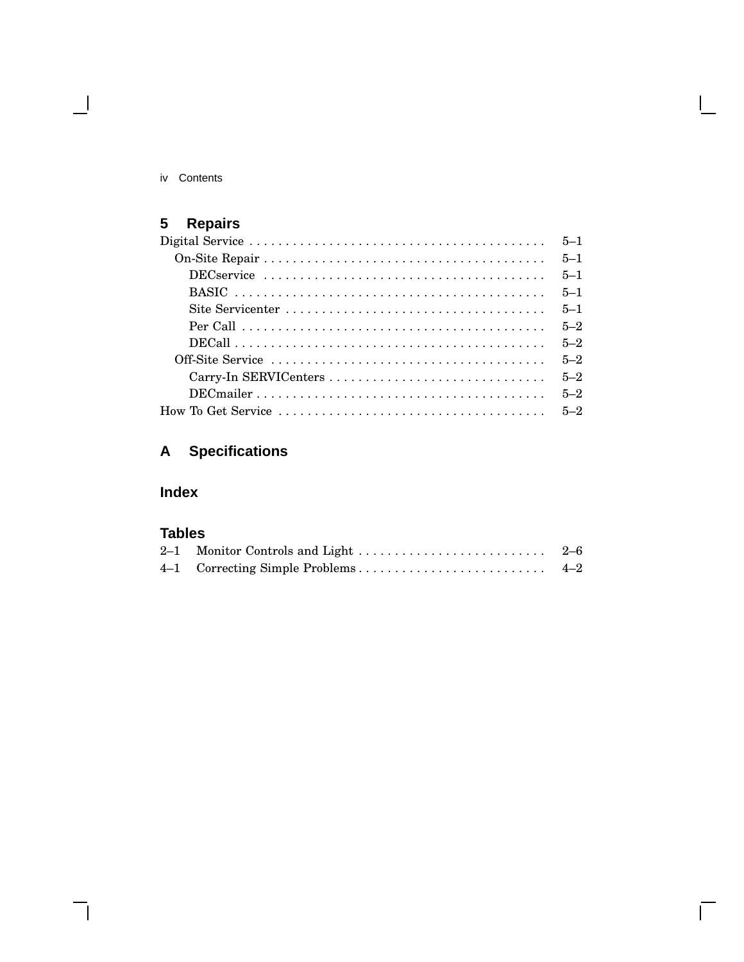iv Contents

 $\blacksquare$ 

## **5 Repairs**

| $5 - 1$ |
|---------|
| $5 - 1$ |
| $5 - 1$ |
| $5 - 1$ |
| $5 - 2$ |
| $5 - 2$ |
| $5 - 2$ |
| $5 - 2$ |
| $5 - 2$ |
|         |

## **A Specifications**

## **Index**

## **Tables**

 $\bar{\Gamma}$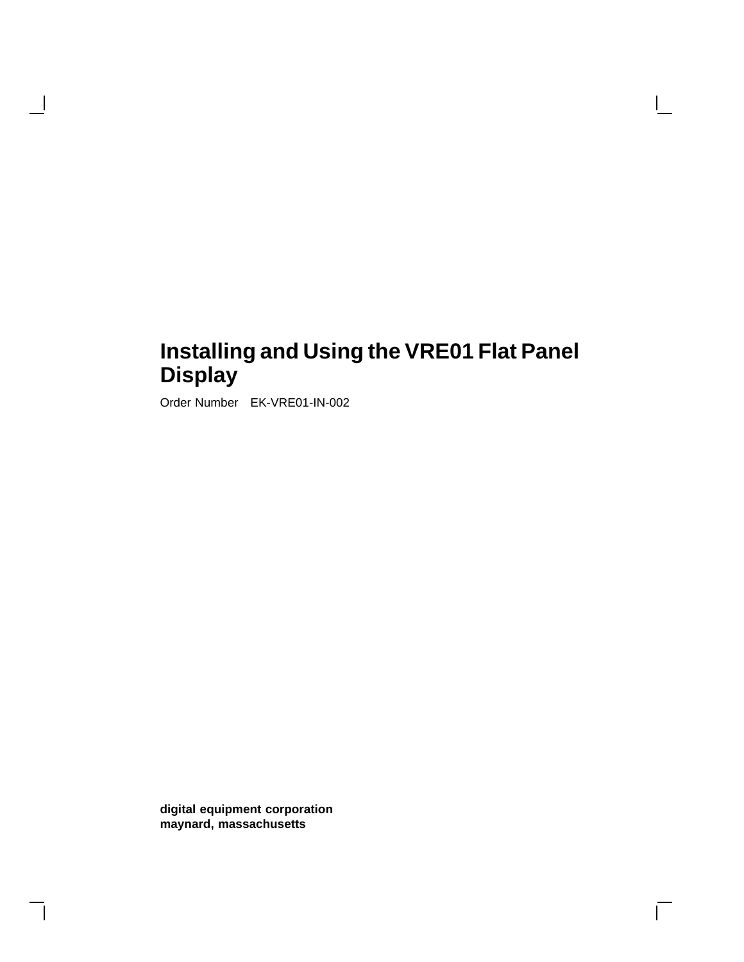## **Installing and Using the VRE01 Flat Panel Display**

 $\Box$ 

Order Number EK-VRE01-IN-002

H

**digital equipment corporation maynard, massachusetts**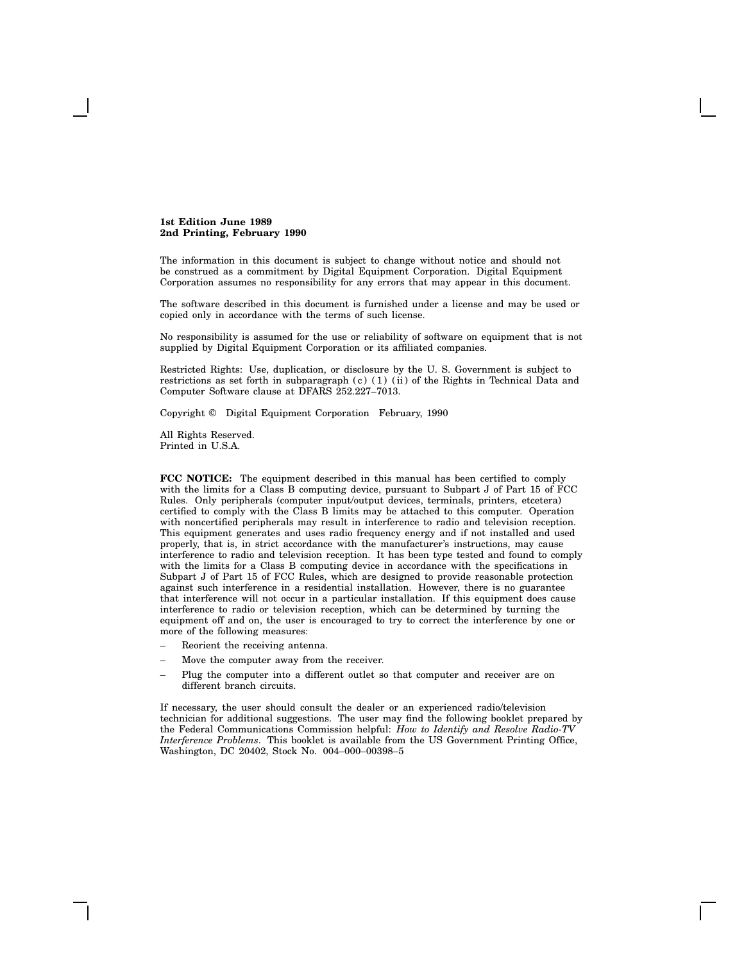**1st Edition June 1989 2nd Printing, February 1990**

The information in this document is subject to change without notice and should not be construed as a commitment by Digital Equipment Corporation. Digital Equipment Corporation assumes no responsibility for any errors that may appear in this document.

The software described in this document is furnished under a license and may be used or copied only in accordance with the terms of such license.

No responsibility is assumed for the use or reliability of software on equipment that is not supplied by Digital Equipment Corporation or its affiliated companies.

Restricted Rights: Use, duplication, or disclosure by the U. S. Government is subject to restrictions as set forth in subparagraph  $(c)$  (1) (ii) of the Rights in Technical Data and Computer Software clause at DFARS 252.227–7013.

Copyright © Digital Equipment Corporation February, 1990

All Rights Reserved. Printed in U.S.A.

**FCC NOTICE:** The equipment described in this manual has been certified to comply with the limits for a Class B computing device, pursuant to Subpart J of Part 15 of FCC Rules. Only peripherals (computer input/output devices, terminals, printers, etcetera) certified to comply with the Class B limits may be attached to this computer. Operation with noncertified peripherals may result in interference to radio and television reception. This equipment generates and uses radio frequency energy and if not installed and used properly, that is, in strict accordance with the manufacturer's instructions, may cause interference to radio and television reception. It has been type tested and found to comply with the limits for a Class B computing device in accordance with the specifications in Subpart J of Part 15 of FCC Rules, which are designed to provide reasonable protection against such interference in a residential installation. However, there is no guarantee that interference will not occur in a particular installation. If this equipment does cause interference to radio or television reception, which can be determined by turning the equipment off and on, the user is encouraged to try to correct the interference by one or more of the following measures:

- Reorient the receiving antenna.
- Move the computer away from the receiver.
- Plug the computer into a different outlet so that computer and receiver are on different branch circuits.

If necessary, the user should consult the dealer or an experienced radio/television technician for additional suggestions. The user may find the following booklet prepared by the Federal Communications Commission helpful: *How to Identify and Resolve Radio-TV Interference Problems*. This booklet is available from the US Government Printing Office, Washington, DC 20402, Stock No. 004–000–00398–5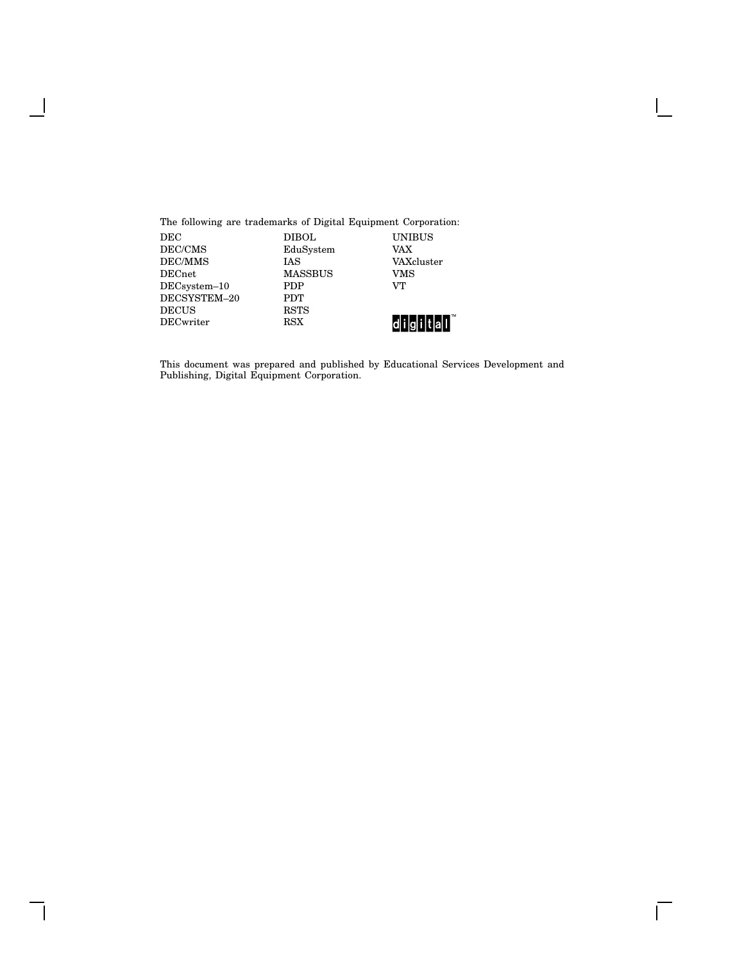The following are trademarks of Digital Equipment Corporation:

 $\mathbf{I}$ 

 $\mathsf{l}$ 

| DEC             | DIBOL          | UNIBUS     |
|-----------------|----------------|------------|
| DEC/CMS         | EduSystem      | VAX        |
| DEC/MMS         | <b>IAS</b>     | VAXcluster |
| DECnet          | <b>MASSBUS</b> | VMS        |
| $DEC system-10$ | <b>PDP</b>     | VТ         |
| DECSYSTEM-20    | <b>PDT</b>     |            |
| <b>DECUS</b>    | <b>RSTS</b>    |            |
| DECwriter       | <b>RSX</b>     |            |

This document was prepared and published by Educational Services Development and Publishing, Digital Equipment Corporation.

 $\mathsf{l}$ 

 $\overline{\Gamma}$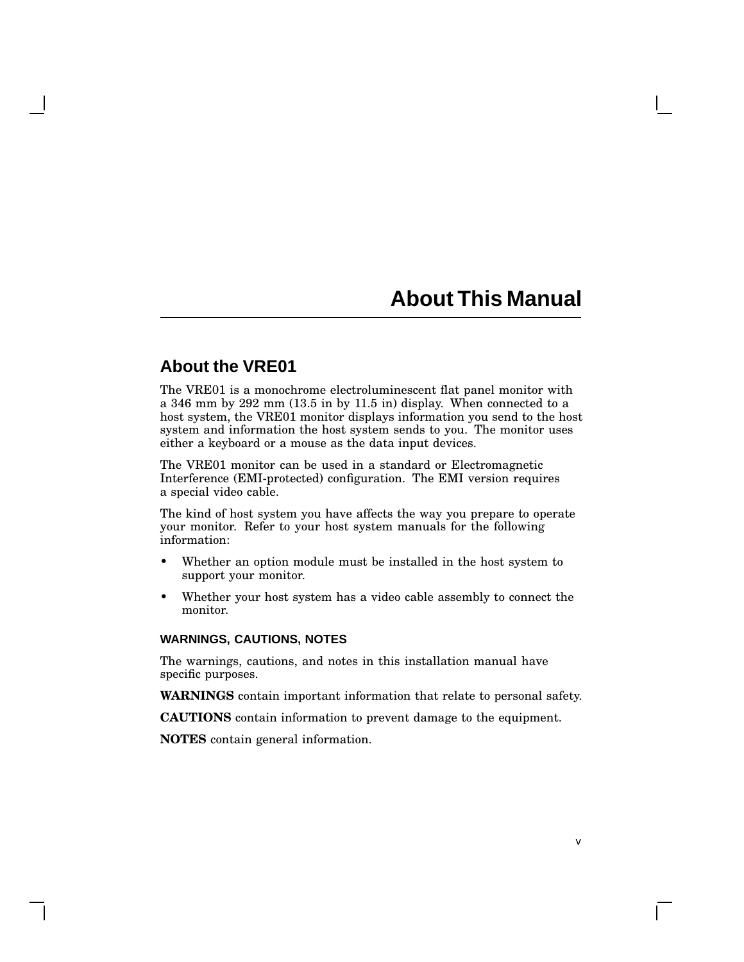## **About This Manual**

v

### **About the VRE01**

The VRE01 is a monochrome electroluminescent flat panel monitor with a 346 mm by 292 mm (13.5 in by 11.5 in) display. When connected to a host system, the VRE01 monitor displays information you send to the host system and information the host system sends to you. The monitor uses either a keyboard or a mouse as the data input devices.

The VRE01 monitor can be used in a standard or Electromagnetic Interference (EMI-protected) configuration. The EMI version requires a special video cable.

The kind of host system you have affects the way you prepare to operate your monitor. Refer to your host system manuals for the following information:

- Whether an option module must be installed in the host system to support your monitor.
- Whether your host system has a video cable assembly to connect the monitor.

#### **WARNINGS, CAUTIONS, NOTES**

The warnings, cautions, and notes in this installation manual have specific purposes.

**WARNINGS** contain important information that relate to personal safety.

**CAUTIONS** contain information to prevent damage to the equipment.

**NOTES** contain general information.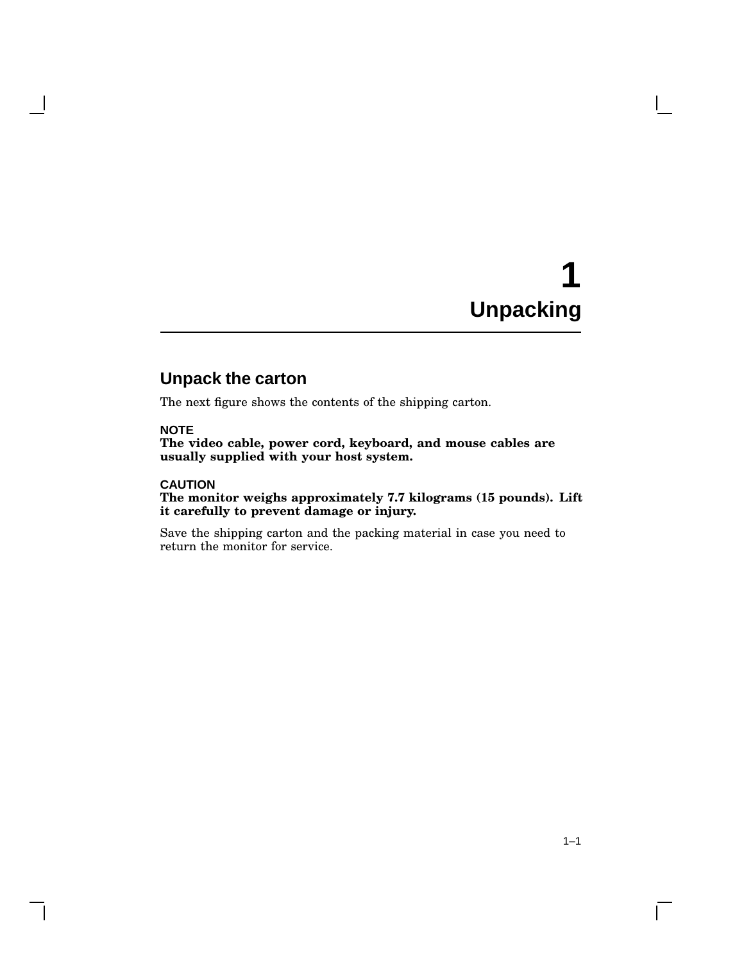# **1 Unpacking**

## **Unpack the carton**

The next figure shows the contents of the shipping carton.

#### **NOTE**

**The video cable, power cord, keyboard, and mouse cables are usually supplied with your host system.**

#### **CAUTION**

**The monitor weighs approximately 7.7 kilograms (15 pounds). Lift it carefully to prevent damage or injury.**

Save the shipping carton and the packing material in case you need to return the monitor for service.

 $\mathbf{I}$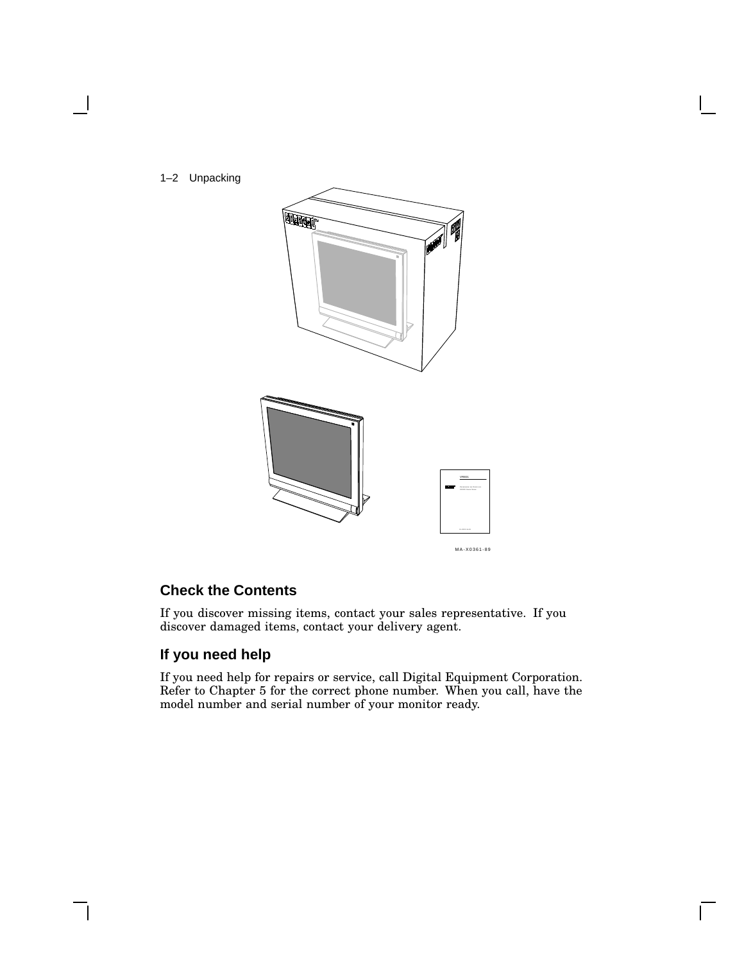

#### **Check the Contents**

If you discover missing items, contact your sales representative. If you discover damaged items, contact your delivery agent.

#### **If you need help**

If you need help for repairs or service, call Digital Equipment Corporation. Refer to Chapter 5 for the correct phone number. When you call, have the model number and serial number of your monitor ready.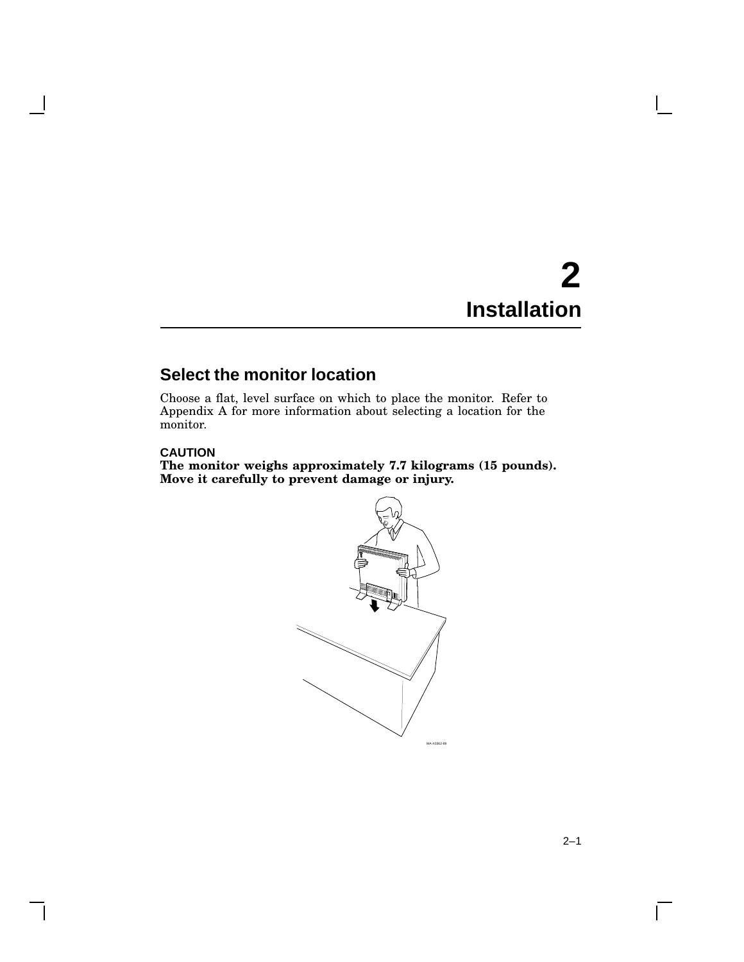## **2 Installation**

## **Select the monitor location**

Choose a flat, level surface on which to place the monitor. Refer to Appendix A for more information about selecting a location for the monitor.

#### **CAUTION**

**The monitor weighs approximately 7.7 kilograms (15 pounds). Move it carefully to prevent damage or injury.**



 $\mathbf{L}$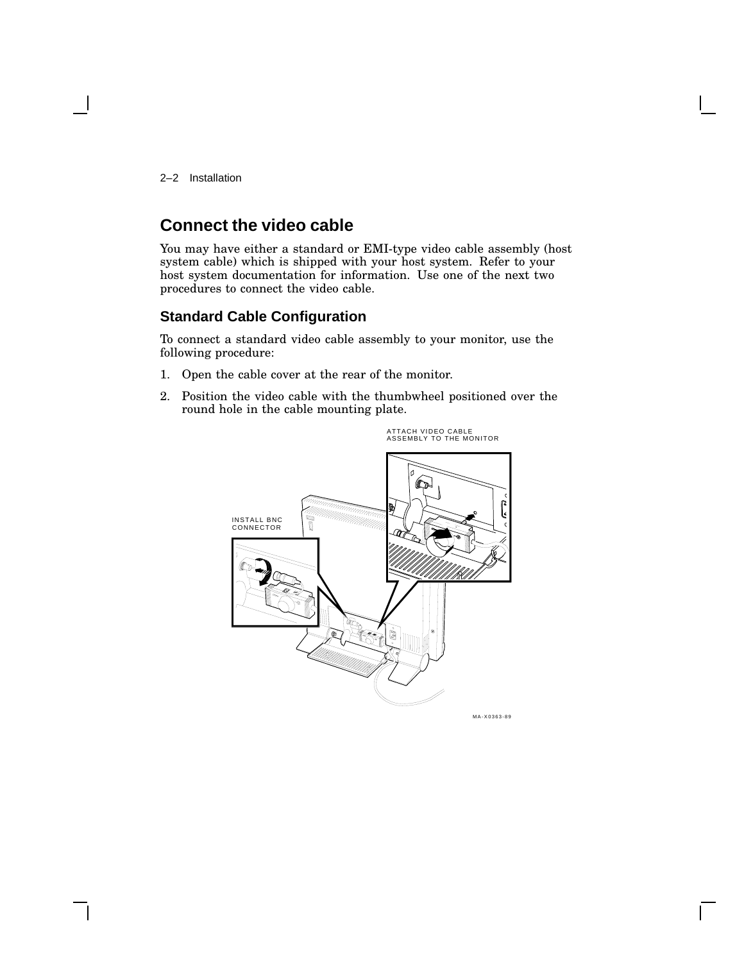2–2 Installation

## **Connect the video cable**

You may have either a standard or EMI-type video cable assembly (host system cable) which is shipped with your host system. Refer to your host system documentation for information. Use one of the next two procedures to connect the video cable.

#### **Standard Cable Configuration**

To connect a standard video cable assembly to your monitor, use the following procedure:

- 1. Open the cable cover at the rear of the monitor.
- 2. Position the video cable with the thumbwheel positioned over the round hole in the cable mounting plate.

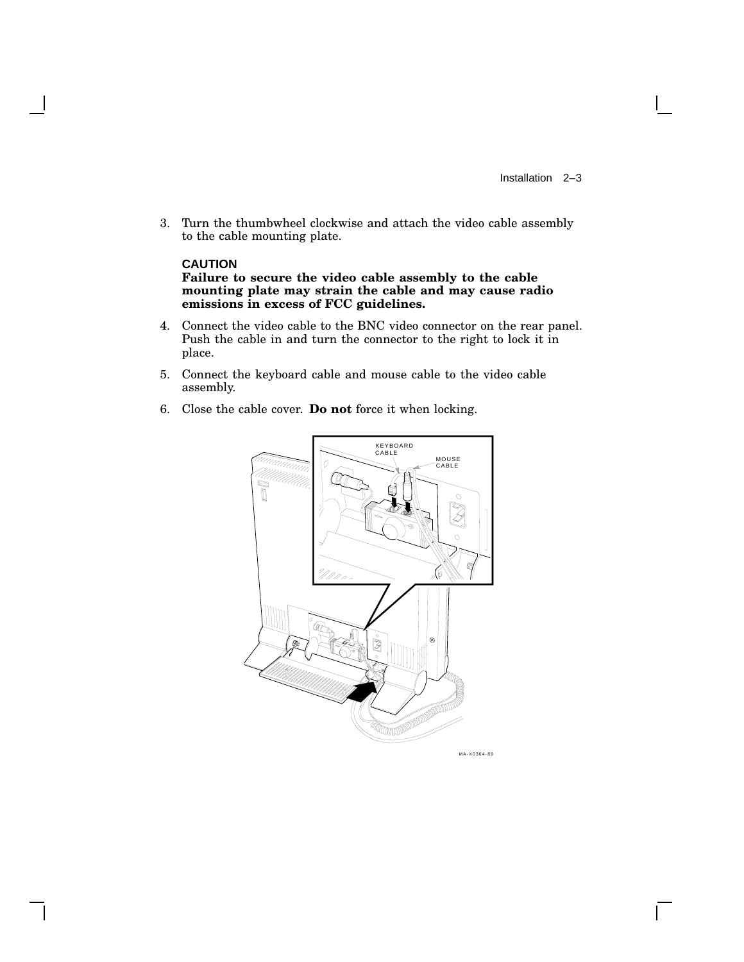3. Turn the thumbwheel clockwise and attach the video cable assembly to the cable mounting plate.

#### **CAUTION**

**Failure to secure the video cable assembly to the cable mounting plate may strain the cable and may cause radio emissions in excess of FCC guidelines.**

- 4. Connect the video cable to the BNC video connector on the rear panel. Push the cable in and turn the connector to the right to lock it in place.
- 5. Connect the keyboard cable and mouse cable to the video cable assembly.
- 6. Close the cable cover. **Do not** force it when locking.



MA-X0364-89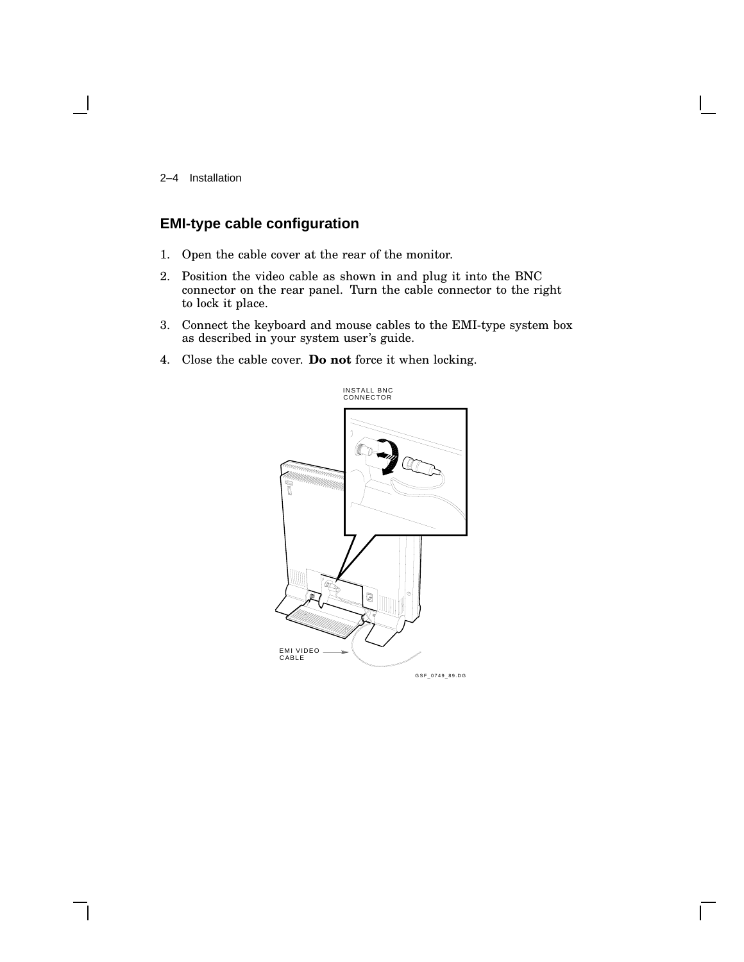2–4 Installation

### **EMI-type cable configuration**

- 1. Open the cable cover at the rear of the monitor.
- 2. Position the video cable as shown in and plug it into the BNC connector on the rear panel. Turn the cable connector to the right to lock it place.
- 3. Connect the keyboard and mouse cables to the EMI-type system box as described in your system user's guide.
- 4. Close the cable cover. **Do not** force it when locking.

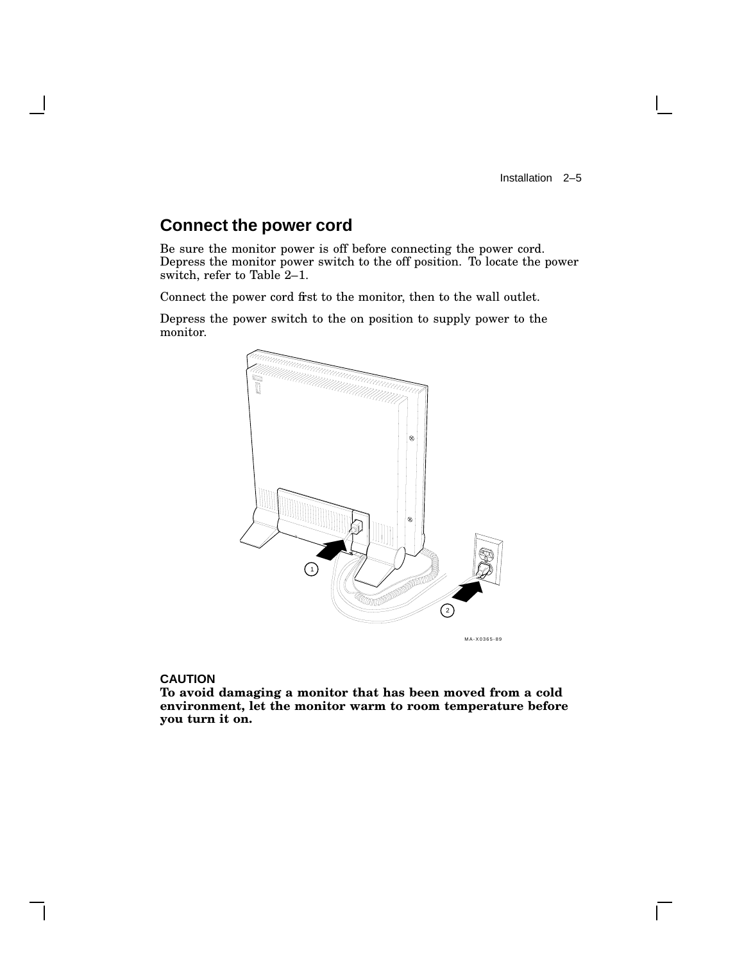$\mathbf{I}$ 

## **Connect the power cord**

Be sure the monitor power is off before connecting the power cord. Depress the monitor power switch to the off position. To locate the power switch, refer to Table 2–1.

Connect the power cord first to the monitor, then to the wall outlet.

Depress the power switch to the on position to supply power to the monitor.



#### **CAUTION**

**To avoid damaging a monitor that has been moved from a cold environment, let the monitor warm to room temperature before you turn it on.**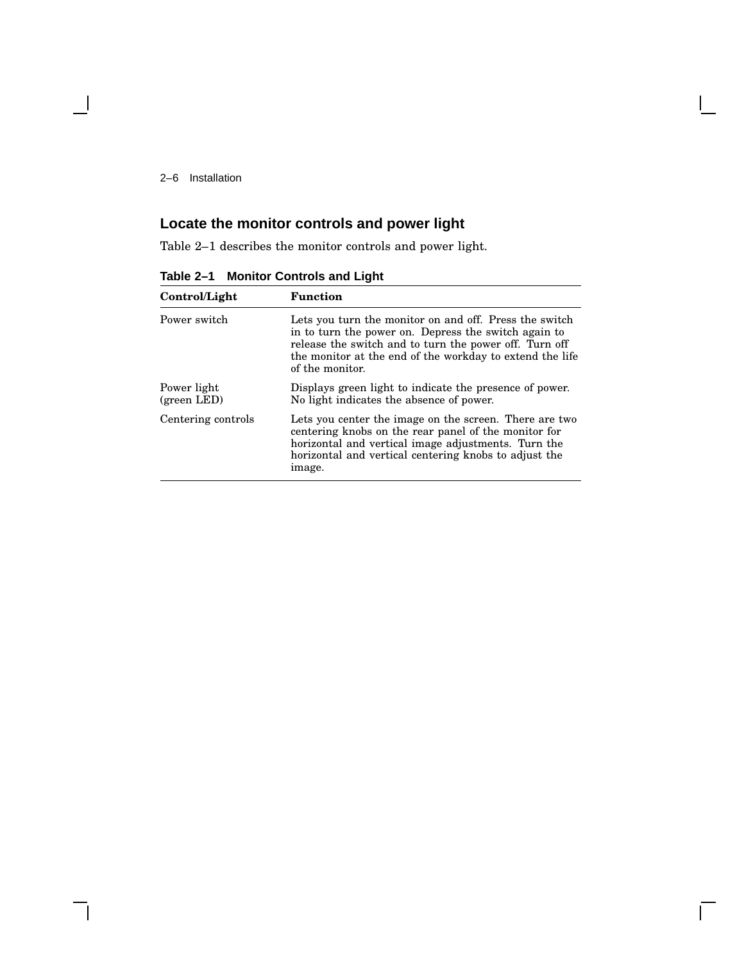2–6 Installation

## **Locate the monitor controls and power light**

Table 2–1 describes the monitor controls and power light.

| Control/Light              | <b>Function</b>                                                                                                                                                                                                                                         |
|----------------------------|---------------------------------------------------------------------------------------------------------------------------------------------------------------------------------------------------------------------------------------------------------|
| Power switch               | Lets you turn the monitor on and off. Press the switch<br>in to turn the power on. Depress the switch again to<br>release the switch and to turn the power off. Turn off<br>the monitor at the end of the workday to extend the life<br>of the monitor. |
| Power light<br>(green LED) | Displays green light to indicate the presence of power.<br>No light indicates the absence of power.                                                                                                                                                     |
| Centering controls         | Lets you center the image on the screen. There are two<br>centering knobs on the rear panel of the monitor for<br>horizontal and vertical image adjustments. Turn the<br>horizontal and vertical centering knobs to adjust the<br>image.                |

**Table 2–1 Monitor Controls and Light**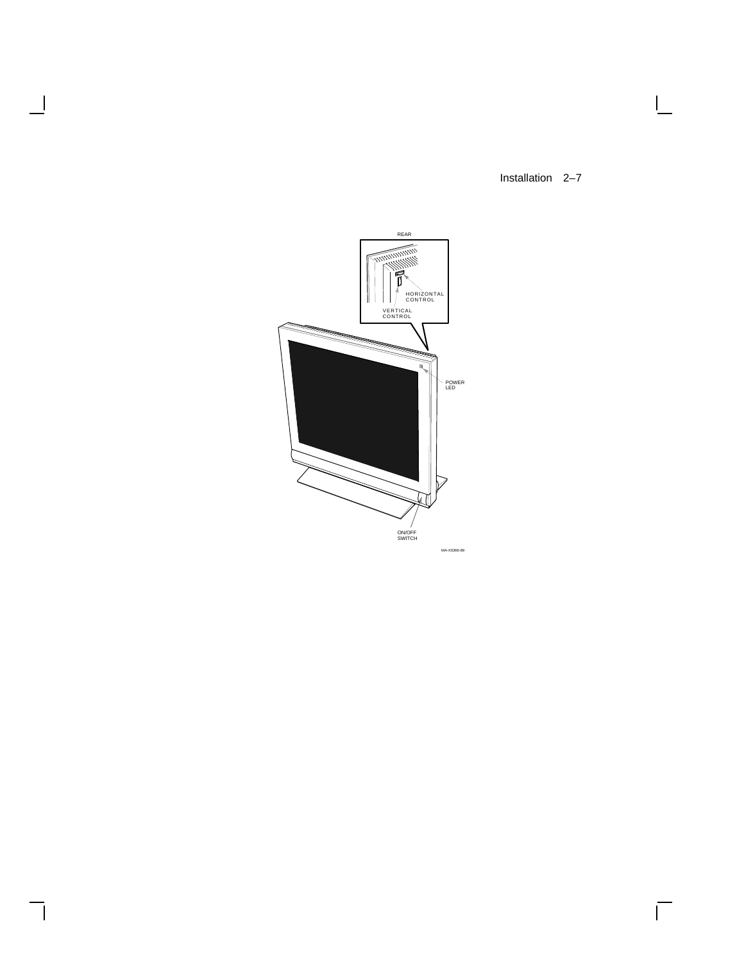Installation 2–7

 $\mathsf{I}$ 

 $\overline{\Gamma}$ 



 $\blacksquare$ 

 $\mathbf l$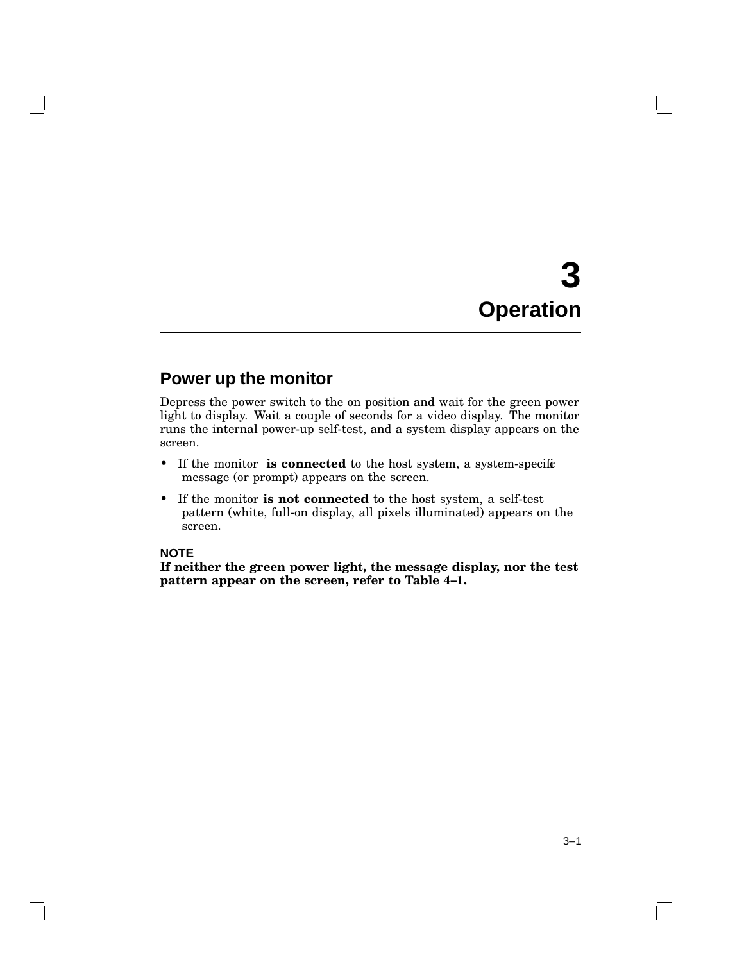# **3 Operation**

## **Power up the monitor**

Depress the power switch to the on position and wait for the green power light to display. Wait a couple of seconds for a video display. The monitor runs the internal power-up self-test, and a system display appears on the screen.

- If the monitor **is connected** to the host system, a system-specific message (or prompt) appears on the screen.
- If the monitor **is not connected** to the host system, a self-test pattern (white, full-on display, all pixels illuminated) appears on the screen.

#### **NOTE**

**If neither the green power light, the message display, nor the test pattern appear on the screen, refer to Table 4–1.**

 $\mathbf{L}$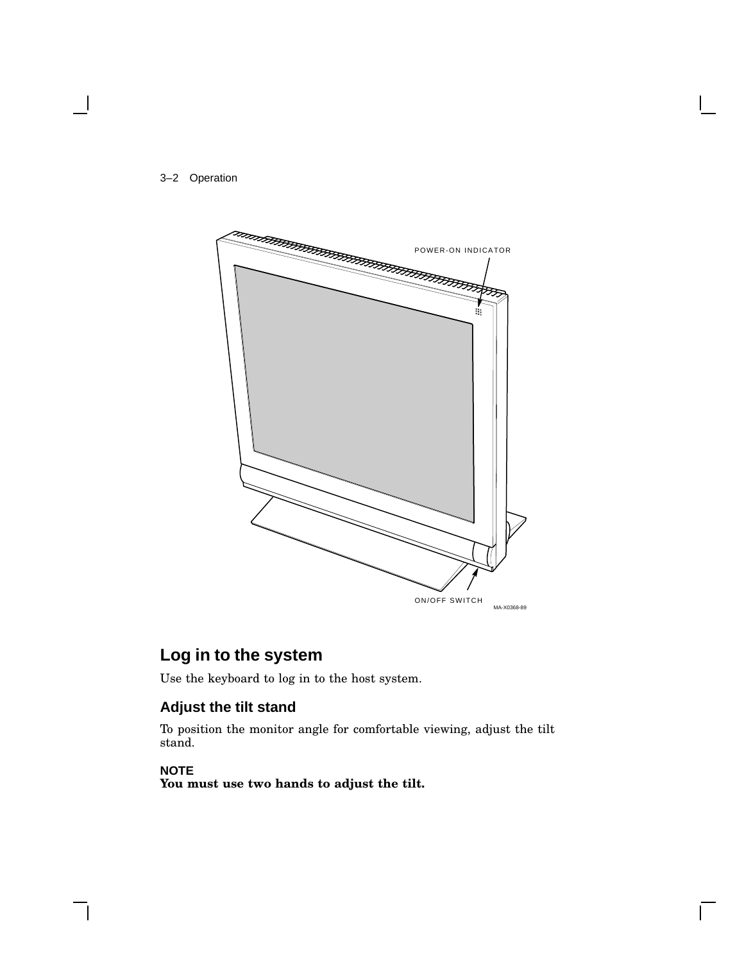



## **Log in to the system**

Use the keyboard to log in to the host system.

### **Adjust the tilt stand**

To position the monitor angle for comfortable viewing, adjust the tilt stand.

#### **NOTE**

**You must use two hands to adjust the tilt.**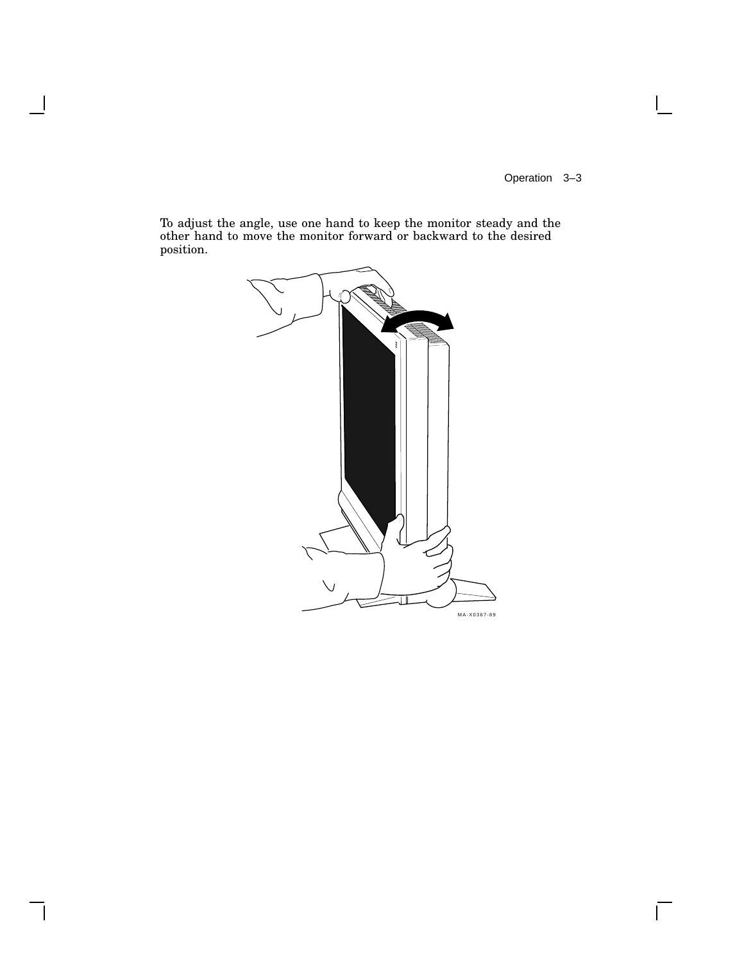Operation 3–3

 $\overline{\Gamma}$ 

To adjust the angle, use one hand to keep the monitor steady and the other hand to move the monitor forward or backward to the desired position.

H

 $\mathsf{l}$ 

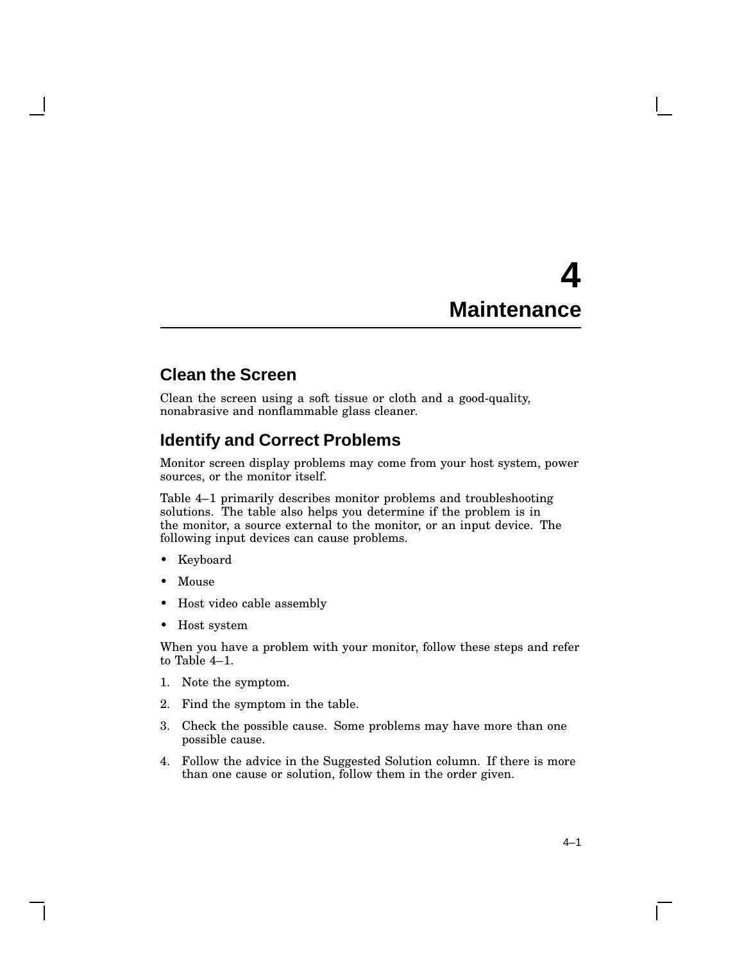## **4 Maintenance**

## **Clean the Screen**

Clean the screen using a soft tissue or cloth and a good-quality, nonabrasive and nonflammable glass cleaner.

## **Identify and Correct Problems**

Monitor screen display problems may come from your host system, power sources, or the monitor itself.

Table 4–1 primarily describes monitor problems and troubleshooting solutions. The table also helps you determine if the problem is in the monitor, a source external to the monitor, or an input device. The following input devices can cause problems.

- Keyboard
- Mouse
- Host video cable assembly
- Host system

When you have a problem with your monitor, follow these steps and refer to Table 4–1.

- 1. Note the symptom.
- 2. Find the symptom in the table.
- 3. Check the possible cause. Some problems may have more than one possible cause.
- 4. Follow the advice in the Suggested Solution column. If there is more than one cause or solution, follow them in the order given.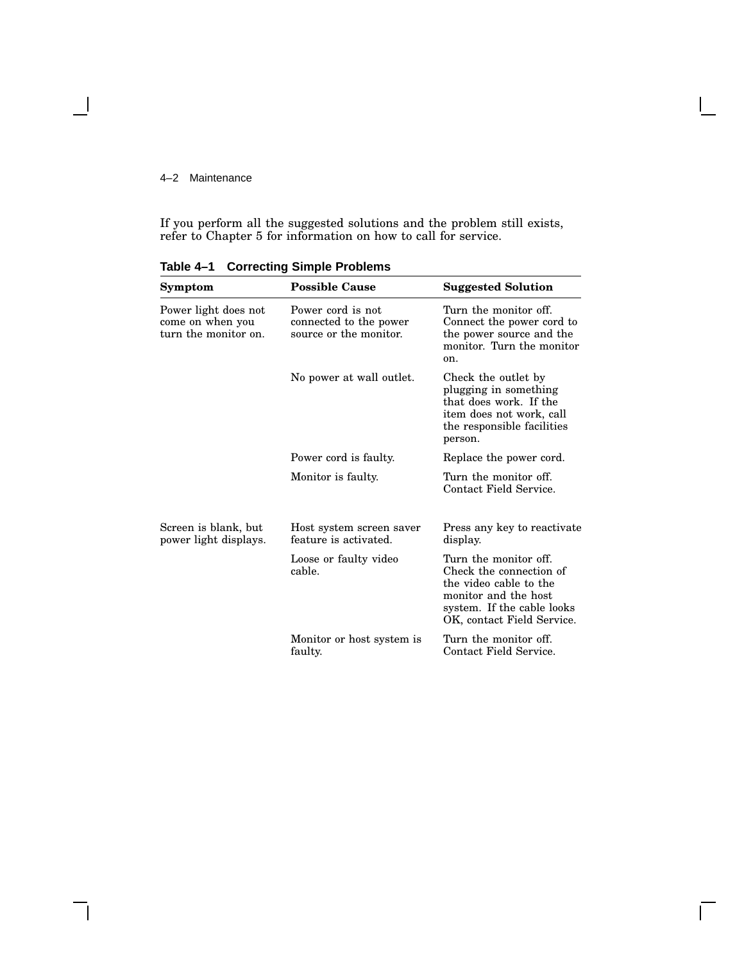#### 4–2 Maintenance

- 1

If you perform all the suggested solutions and the problem still exists, refer to Chapter 5 for information on how to call for service.

| Symptom                                                          | <b>Possible Cause</b>                                                 | <b>Suggested Solution</b>                                                                                                                                      |
|------------------------------------------------------------------|-----------------------------------------------------------------------|----------------------------------------------------------------------------------------------------------------------------------------------------------------|
| Power light does not<br>come on when you<br>turn the monitor on. | Power cord is not<br>connected to the power<br>source or the monitor. | Turn the monitor off.<br>Connect the power cord to<br>the power source and the<br>monitor. Turn the monitor<br>on.                                             |
|                                                                  | No power at wall outlet.                                              | Check the outlet by<br>plugging in something<br>that does work. If the<br>item does not work, call<br>the responsible facilities<br>person.                    |
|                                                                  | Power cord is faulty.                                                 | Replace the power cord.                                                                                                                                        |
|                                                                  | Monitor is faulty.                                                    | Turn the monitor off.<br>Contact Field Service.                                                                                                                |
| Screen is blank, but<br>power light displays.                    | Host system screen saver<br>feature is activated.                     | Press any key to reactivate<br>display.                                                                                                                        |
|                                                                  | Loose or faulty video<br>cable.                                       | Turn the monitor off.<br>Check the connection of<br>the video cable to the<br>monitor and the host<br>system. If the cable looks<br>OK, contact Field Service. |
|                                                                  | Monitor or host system is<br>faulty.                                  | Turn the monitor off.<br>Contact Field Service.                                                                                                                |

 $\Box$ 

**Table 4–1 Correcting Simple Problems**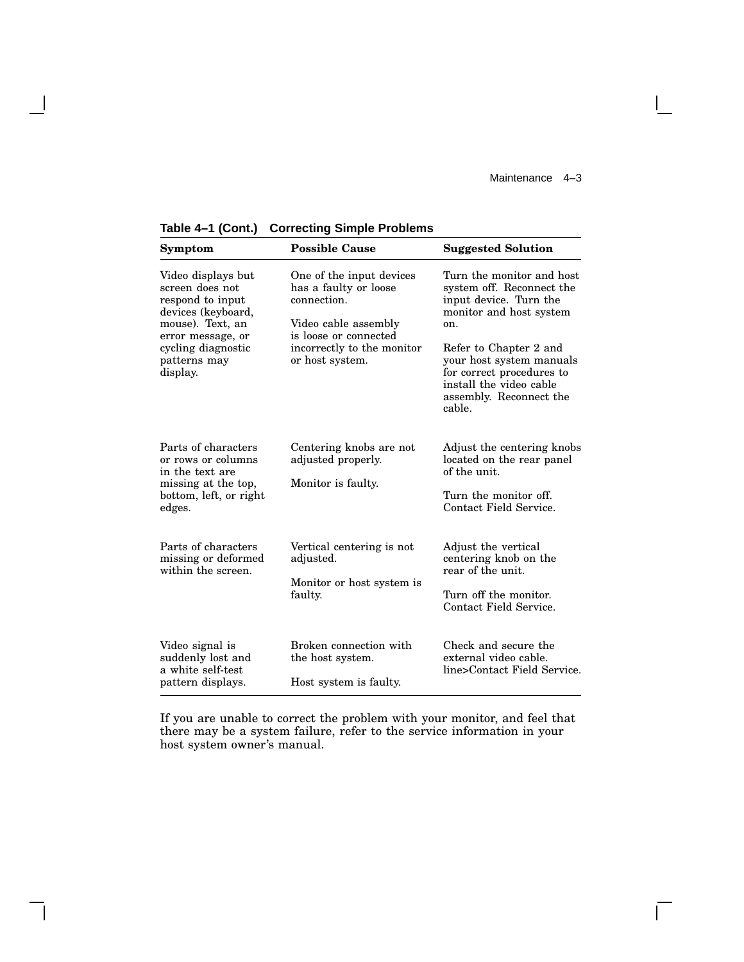$\overline{\Gamma}$ 

| Symptom                                                                                                                                                                    | <b>Possible Cause</b>                                                                                                                                              | <b>Suggested Solution</b>                                                                                                                                                                                                                                             |
|----------------------------------------------------------------------------------------------------------------------------------------------------------------------------|--------------------------------------------------------------------------------------------------------------------------------------------------------------------|-----------------------------------------------------------------------------------------------------------------------------------------------------------------------------------------------------------------------------------------------------------------------|
| Video displays but<br>screen does not<br>respond to input<br>devices (keyboard,<br>mouse). Text, an<br>error message, or<br>cycling diagnostic<br>patterns may<br>display. | One of the input devices<br>has a faulty or loose<br>connection.<br>Video cable assembly<br>is loose or connected<br>incorrectly to the monitor<br>or host system. | Turn the monitor and host<br>system off. Reconnect the<br>input device. Turn the<br>monitor and host system<br>on.<br>Refer to Chapter 2 and<br>your host system manuals<br>for correct procedures to<br>install the video cable<br>assembly. Reconnect the<br>cable. |
| Parts of characters<br>or rows or columns<br>in the text are<br>missing at the top,<br>bottom, left, or right<br>edges.                                                    | Centering knobs are not<br>adjusted properly.<br>Monitor is faulty.                                                                                                | Adjust the centering knobs<br>located on the rear panel<br>of the unit.<br>Turn the monitor off.<br>Contact Field Service.                                                                                                                                            |
| Parts of characters<br>missing or deformed<br>within the screen.                                                                                                           | Vertical centering is not<br>adjusted.<br>Monitor or host system is<br>faulty.                                                                                     | Adjust the vertical<br>centering knob on the<br>rear of the unit.<br>Turn off the monitor.<br>Contact Field Service.                                                                                                                                                  |
| Video signal is<br>suddenly lost and<br>a white self-test<br>pattern displays.                                                                                             | Broken connection with<br>the host system.<br>Host system is faulty.                                                                                               | Check and secure the<br>external video cable.<br>line>Contact Field Service.                                                                                                                                                                                          |

**Table 4–1 (Cont.) Correcting Simple Problems**

 $\overline{\phantom{a}}$ 

 $\mathbf{I}$ 

If you are unable to correct the problem with your monitor, and feel that there may be a system failure, refer to the service information in your host system owner's manual.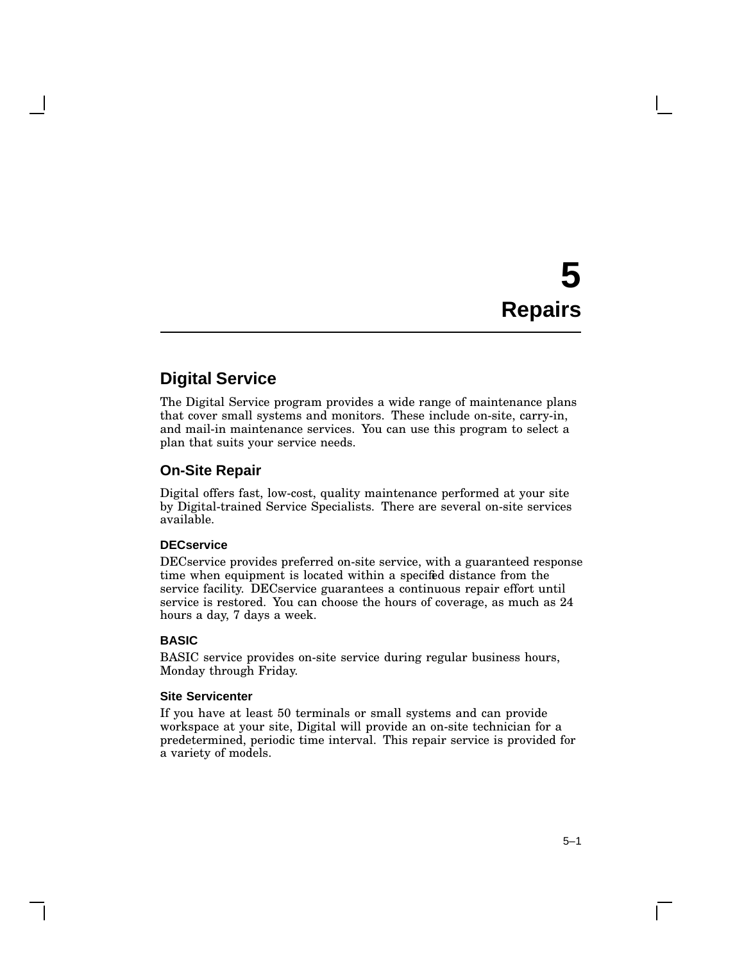# **5 Repairs**

## **Digital Service**

The Digital Service program provides a wide range of maintenance plans that cover small systems and monitors. These include on-site, carry-in, and mail-in maintenance services. You can use this program to select a plan that suits your service needs.

#### **On-Site Repair**

Digital offers fast, low-cost, quality maintenance performed at your site by Digital-trained Service Specialists. There are several on-site services available.

#### **DECservice**

DECservice provides preferred on-site service, with a guaranteed response time when equipment is located within a specified distance from the service facility. DECservice guarantees a continuous repair effort until service is restored. You can choose the hours of coverage, as much as 24 hours a day, 7 days a week.

#### **BASIC**

BASIC service provides on-site service during regular business hours, Monday through Friday.

#### **Site Servicenter**

If you have at least 50 terminals or small systems and can provide workspace at your site, Digital will provide an on-site technician for a predetermined, periodic time interval. This repair service is provided for a variety of models.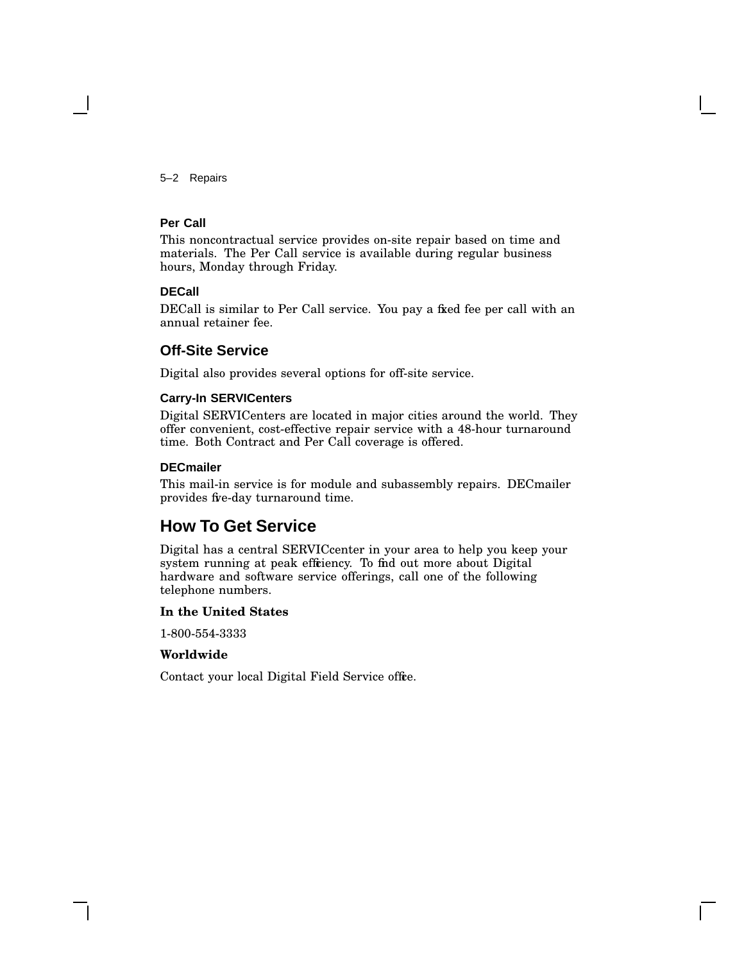5–2 Repairs

#### **Per Call**

This noncontractual service provides on-site repair based on time and materials. The Per Call service is available during regular business hours, Monday through Friday.

#### **DECall**

DECall is similar to Per Call service. You pay a fixed fee per call with an annual retainer fee.

#### **Off-Site Service**

Digital also provides several options for off-site service.

#### **Carry-In SERVICenters**

Digital SERVICenters are located in major cities around the world. They offer convenient, cost-effective repair service with a 48-hour turnaround time. Both Contract and Per Call coverage is offered.

#### **DECmailer**

This mail-in service is for module and subassembly repairs. DECmailer provides five-day turnaround time.

### **How To Get Service**

Digital has a central SERVICcenter in your area to help you keep your system running at peak effriency. To find out more about Digital hardware and software service offerings, call one of the following telephone numbers.

#### **In the United States**

1-800-554-3333

#### **Worldwide**

Contact your local Digital Field Service office.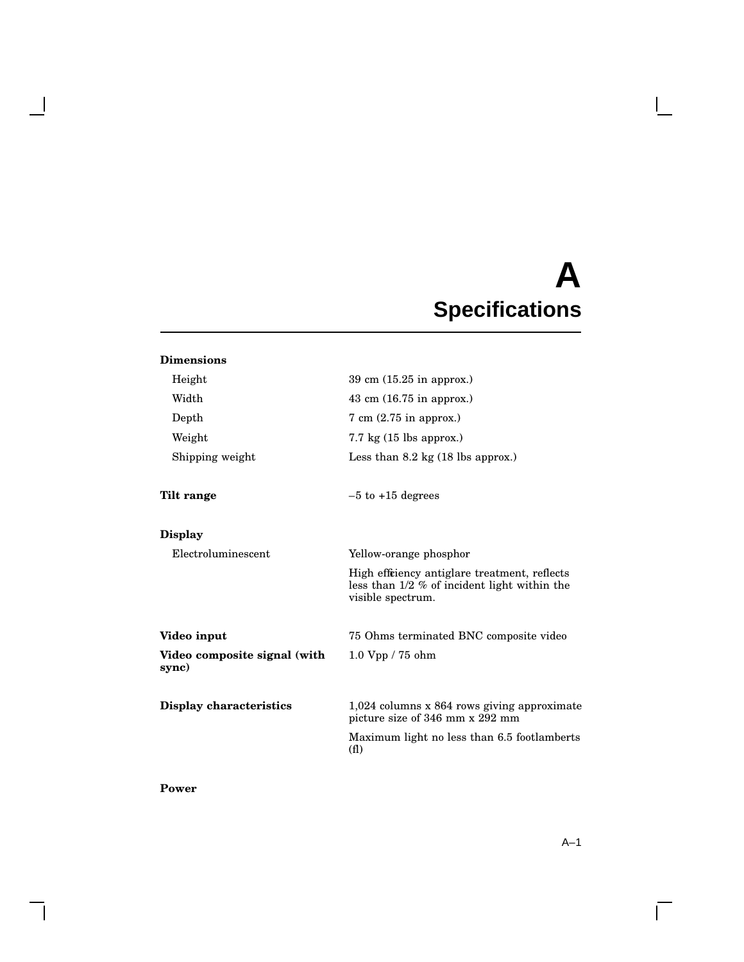# **A Specifications**

| <b>Dimensions</b>                     |                                                                                                                     |
|---------------------------------------|---------------------------------------------------------------------------------------------------------------------|
| Height                                | 39 cm $(15.25$ in approx.)                                                                                          |
| Width                                 | 43 cm $(16.75 \text{ in approx.})$                                                                                  |
| Depth                                 | $7 \text{ cm } (2.75 \text{ in approx.})$                                                                           |
| Weight                                | $7.7 \text{ kg}$ (15 lbs approx.)                                                                                   |
| Shipping weight                       | Less than $8.2 \text{ kg}$ (18 lbs approx.)                                                                         |
| Tilt range                            | $-5$ to $+15$ degrees                                                                                               |
| <b>Display</b>                        |                                                                                                                     |
| Electroluminescent                    | Yellow-orange phosphor                                                                                              |
|                                       | High effriency antiglare treatment, reflects<br>less than $1/2$ % of incident light within the<br>visible spectrum. |
| Video input                           | 75 Ohms terminated BNC composite video                                                                              |
| Video composite signal (with<br>sync) | 1.0 Vpp / 75 ohm                                                                                                    |
| Display characteristics               | $1,024$ columns x 864 rows giving approximate<br>picture size of 346 mm x 292 mm                                    |
|                                       | Maximum light no less than 6.5 footlamberts<br>(f <sub>1</sub> )                                                    |
|                                       |                                                                                                                     |

**Power**

 $\mathsf{l}$ 

 $\blacksquare$ 

 $\Box$